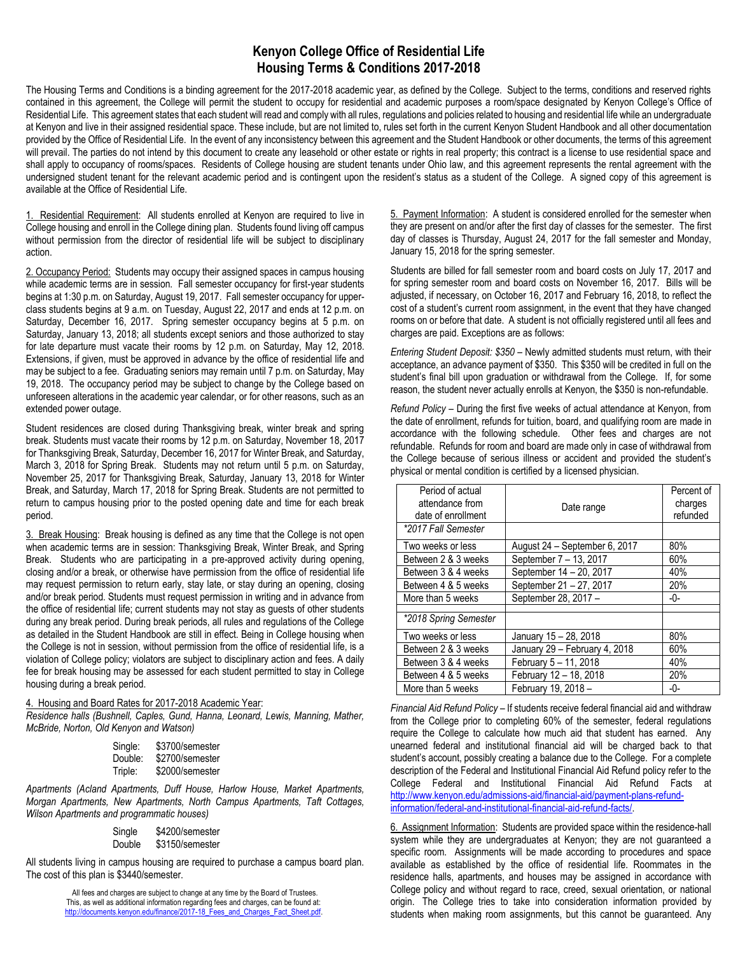## **Kenyon College Office of Residential Life Housing Terms & Conditions 2017-2018**

The Housing Terms and Conditions is a binding agreement for the 2017-2018 academic year, as defined by the College. Subject to the terms, conditions and reserved rights contained in this agreement, the College will permit the student to occupy for residential and academic purposes a room/space designated by Kenyon College's Office of Residential Life. This agreement states that each student will read and comply with all rules, regulations and policies related to housing and residential life while an undergraduate at Kenyon and live in their assigned residential space. These include, but are not limited to, rules set forth in the current Kenyon Student Handbook and all other documentation provided by the Office of Residential Life. In the event of any inconsistency between this agreement and the Student Handbook or other documents, the terms of this agreement will prevail. The parties do not intend by this document to create any leasehold or other estate or rights in real property; this contract is a license to use residential space and shall apply to occupancy of rooms/spaces. Residents of College housing are student tenants under Ohio law, and this agreement represents the rental agreement with the undersigned student tenant for the relevant academic period and is contingent upon the resident's status as a student of the College. A signed copy of this agreement is available at the Office of Residential Life.

1. Residential Requirement: All students enrolled at Kenyon are required to live in College housing and enroll in the College dining plan. Students found living off campus without permission from the director of residential life will be subject to disciplinary action.

2. Occupancy Period: Students may occupy their assigned spaces in campus housing while academic terms are in session. Fall semester occupancy for first-year students begins at 1:30 p.m. on Saturday, August 19, 2017. Fall semester occupancy for upperclass students begins at 9 a.m. on Tuesday, August 22, 2017 and ends at 12 p.m. on Saturday, December 16, 2017. Spring semester occupancy begins at 5 p.m. on Saturday, January 13, 2018; all students except seniors and those authorized to stay for late departure must vacate their rooms by 12 p.m. on Saturday, May 12, 2018. Extensions, if given, must be approved in advance by the office of residential life and may be subject to a fee. Graduating seniors may remain until 7 p.m. on Saturday, May 19, 2018. The occupancy period may be subject to change by the College based on unforeseen alterations in the academic year calendar, or for other reasons, such as an extended power outage.

Student residences are closed during Thanksgiving break, winter break and spring break. Students must vacate their rooms by 12 p.m. on Saturday, November 18, 2017 for Thanksgiving Break, Saturday, December 16, 2017 for Winter Break, and Saturday, March 3, 2018 for Spring Break. Students may not return until 5 p.m. on Saturday, November 25, 2017 for Thanksgiving Break, Saturday, January 13, 2018 for Winter Break, and Saturday, March 17, 2018 for Spring Break. Students are not permitted to return to campus housing prior to the posted opening date and time for each break period.

3. Break Housing: Break housing is defined as any time that the College is not open when academic terms are in session: Thanksgiving Break, Winter Break, and Spring Break. Students who are participating in a pre-approved activity during opening, closing and/or a break, or otherwise have permission from the office of residential life may request permission to return early, stay late, or stay during an opening, closing and/or break period. Students must request permission in writing and in advance from the office of residential life; current students may not stay as guests of other students during any break period. During break periods, all rules and regulations of the College as detailed in the Student Handbook are still in effect. Being in College housing when the College is not in session, without permission from the office of residential life, is a violation of College policy; violators are subject to disciplinary action and fees. A daily fee for break housing may be assessed for each student permitted to stay in College housing during a break period.

4. Housing and Board Rates for 2017-2018 Academic Year:

*Residence halls (Bushnell, Caples, Gund, Hanna, Leonard, Lewis, Manning, Mather, McBride, Norton, Old Kenyon and Watson)*

| Single: | \$3700/semester |
|---------|-----------------|
| Double: | \$2700/semester |
| Triple: | \$2000/semester |

*Apartments (Acland Apartments, Duff House, Harlow House, Market Apartments, Morgan Apartments, New Apartments, North Campus Apartments, Taft Cottages, Wilson Apartments and programmatic houses)*

| Single | \$4200/semester |
|--------|-----------------|
| Double | \$3150/semester |

All students living in campus housing are required to purchase a campus board plan. The cost of this plan is \$3440/semester.

> All fees and charges are subject to change at any time by the Board of Trustees. This, as well as additional information regarding fees and charges, can be found at: [http://documents.kenyon.edu/finance/2017-18\\_Fees\\_and\\_Charges\\_Fact\\_Sheet.pdf.](http://documents.kenyon.edu/finance/2017-18_Fees_and_Charges_Fact_Sheet.pdf)

5. Payment Information: A student is considered enrolled for the semester when they are present on and/or after the first day of classes for the semester. The first day of classes is Thursday, August 24, 2017 for the fall semester and Monday, January 15, 2018 for the spring semester.

Students are billed for fall semester room and board costs on July 17, 2017 and for spring semester room and board costs on November 16, 2017. Bills will be adjusted, if necessary, on October 16, 2017 and February 16, 2018, to reflect the cost of a student's current room assignment, in the event that they have changed rooms on or before that date. A student is not officially registered until all fees and charges are paid. Exceptions are as follows:

*Entering Student Deposit: \$350* – Newly admitted students must return, with their acceptance, an advance payment of \$350. This \$350 will be credited in full on the student's final bill upon graduation or withdrawal from the College. If, for some reason, the student never actually enrolls at Kenyon, the \$350 is non-refundable.

*Refund Policy* – During the first five weeks of actual attendance at Kenyon, from the date of enrollment, refunds for tuition, board, and qualifying room are made in accordance with the following schedule. Other fees and charges are not refundable. Refunds for room and board are made only in case of withdrawal from the College because of serious illness or accident and provided the student's physical or mental condition is certified by a licensed physician.

| Period of actual<br>attendance from<br>date of enrollment | Date range                    | Percent of<br>charges<br>refunded |
|-----------------------------------------------------------|-------------------------------|-----------------------------------|
| *2017 Fall Semester                                       |                               |                                   |
| Two weeks or less                                         | August 24 - September 6, 2017 | 80%                               |
| Between 2 & 3 weeks                                       | September 7 - 13, 2017        | 60%                               |
| Between 3 & 4 weeks                                       | September 14 - 20, 2017       | 40%                               |
| Between 4 & 5 weeks                                       | September 21 - 27, 2017       | 20%                               |
| More than 5 weeks                                         | September 28, 2017 -          | -0-                               |
| *2018 Spring Semester                                     |                               |                                   |
| Two weeks or less                                         | January 15 - 28, 2018         | 80%                               |
| Between 2 & 3 weeks                                       | January 29 - February 4, 2018 | 60%                               |
| Between 3 & 4 weeks                                       | February 5 - 11, 2018         | 40%                               |
| Between 4 & 5 weeks                                       | February 12 - 18, 2018        | 20%                               |
| More than 5 weeks                                         | February 19, 2018 -           | -0-                               |

*Financial Aid Refund Policy* – If students receive federal financial aid and withdraw from the College prior to completing 60% of the semester, federal regulations require the College to calculate how much aid that student has earned. Any unearned federal and institutional financial aid will be charged back to that student's account, possibly creating a balance due to the College. For a complete description of the Federal and Institutional Financial Aid Refund policy refer to the College Federal and Institutional Financial Aid Refund Facts at [http://www.kenyon.edu/admissions-aid/financial-aid/payment-plans-refund](http://www.kenyon.edu/admissions-aid/financial-aid/payment-plans-refund-information/federal-and-institutional-financial-aid-refund-facts/)[information/federal-and-institutional-financial-aid-refund-facts/.](http://www.kenyon.edu/admissions-aid/financial-aid/payment-plans-refund-information/federal-and-institutional-financial-aid-refund-facts/)

6. Assignment Information: Students are provided space within the residence-hall system while they are undergraduates at Kenyon; they are not guaranteed a specific room. Assignments will be made according to procedures and space available as established by the office of residential life. Roommates in the residence halls, apartments, and houses may be assigned in accordance with College policy and without regard to race, creed, sexual orientation, or national origin. The College tries to take into consideration information provided by students when making room assignments, but this cannot be guaranteed. Any